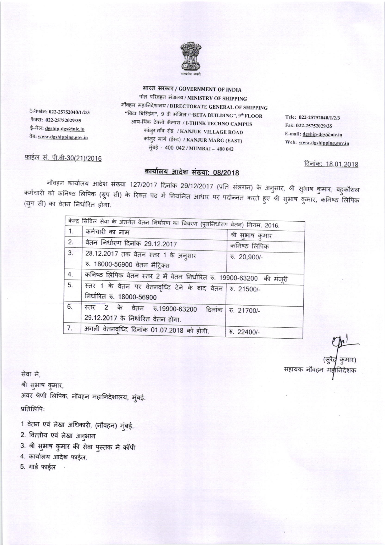

भारत सरकार / GOVERNMENT OF INDIA पोत परिवहन मंत्रालय / MINISTRY OF SHIPPING नौवहन महानिदेशालय / DIRECTORATE GENERAL OF SHIPPING "बिटा बिल्डिंग", 9 वी मंजिल / "BETA BUILDING", 9" FLOOR आय-थिंक टेक्नो कॅम्पस / I-THINK TECHNO CAMPUS कांजुर गाॅव रोड / KANJUR VILLAGE ROAD कांजुर मार्ग (ईस्ट) / KANJUR MARG (EAST) मुंबई - 400 042 / MUMBAI - 400 042

Tele: 022-25752040/1/2/3 Fax: 022-25752029/35 E-mail: dgship-dgs@nic.in Web: www.dgshipping.gov.in

<u>दिनांक: 18.01.2018</u>

## फाईल सं. पी.बी-30(21)/2016

टेलीफोन: 022-25752040/1/2/3

फैक्स: 022-25752029/35

ई-मेल: dgship-dgs@nic.in

तेबः www.dgshipping.gov.in

## कार्यालय आदेश संख्या: 08/2018

नौवहन कार्यालय आदेश संख्या 127/2017 दिनांक 29/12/2017 (प्रति संलगन) के अनुसार, श्री सुभाष कुमार, बहुकौशल कर्मचारी को कनिष्ठ लिपिक (ग्रुप सी) के रिक्त पद में नियमित आधार पर पदोन्नत करते हुए श्री सुभाष कुमार, कनिष्ठ लिपिक (ग्रुप सी) का वेतन निर्धारित होगा.

|    | केन्द्र सिविल सेवा के अंतर्गत वेतन निर्धारण का विवरण (पुननिर्धारण वेतन) नियम, 2016.    |                  |
|----|----------------------------------------------------------------------------------------|------------------|
| 1. | कर्मचारी का नाम                                                                        | श्री सुभाष कुमार |
| 2. | वेतन निर्धारण दिनांक 29.12.2017                                                        | कनिष्ठ लिपिक     |
| 3. | 28.12.2017 तक वेतन स्तर 1 के अनुसार                                                    | ₹. 20,900/-      |
|    | रु. 18000-56900 वेतन मैट्रिक्स                                                         |                  |
| 4. | कनिष्ठ लिपिक वेतन स्तर 2 में वेतन निर्धारित रु. 19900-63200 की मंजूरी                  |                  |
| 5. | स्तर 1 के वेतन पर वेतनवृध्दि देने के बाद वेतन क. 21500/-<br>निर्धारित रु. 18000-56900  |                  |
| 6. | स्तर 2 के वेतन रु.19900-63200 दिनांक रु. 21700/-<br>29.12.2017 के निर्धारित वेतन होगा. |                  |
| 7. | अगली वेतनवृध्दि दिनांक 01.07.2018 को होगी.                                             | ₹. 22400/-       |

सहायक नौवहन मह

सेवा में, श्री सुभाष कुमार, अवर श्रेणी लिपिक, नौवहन महानिदेशालय, मुंबई. प्रतिलिपिः

1 वेतन एवं लेखा अधिकारी, (नौवहन) मुंबई.

2. वित्तीय एवं लेखा अनुभाग

3. श्री सुभाष कुमार की सेवा पुस्तक में कॉपी

4. कार्यालय आदेश फाईल.

5. गार्ड फाईल